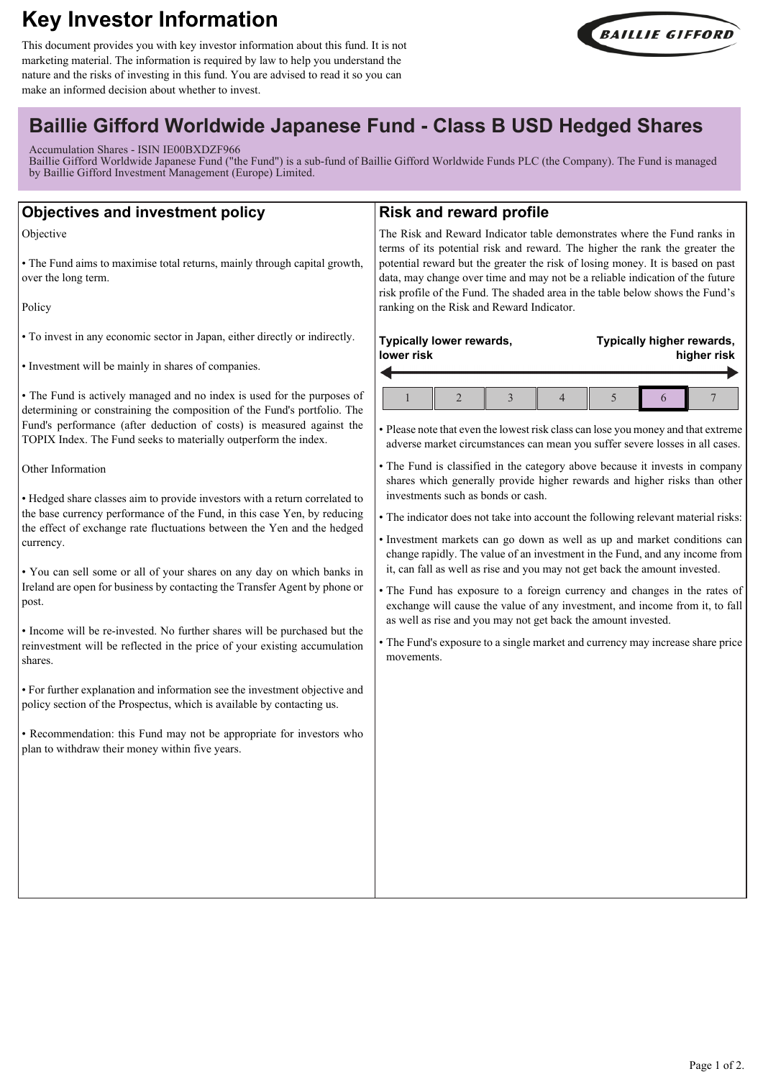# **Key Investor Information**

This document provides you with key investor information about this fund. It is not marketing material. The information is required by law to help you understand the nature and the risks of investing in this fund. You are advised to read it so you can make an informed decision about whether to invest.



# **Baillie Gifford Worldwide Japanese Fund - Class B USD Hedged Shares**

Accumulation Shares - ISIN IE00BXDZF966

Baillie Gifford Worldwide Japanese Fund ("the Fund") is a sub-fund of Baillie Gifford Worldwide Funds PLC (the Company). The Fund is managed by Baillie Gifford Investment Management (Europe) Limited.

| <b>Objectives and investment policy</b>                                                                                                                                                                                                                                                                                                                                                                                                                                                                                                                                                                                                                                                                                                                                                                                                                                                                                                                                                                                                                                                                                                                                                                                                                                                                                                | <b>Risk and reward profile</b>                                                                                                                                                                                                                                                                                                                                                                                                                                                                                                                                                                                                                                                                                                                                                                                                                                                                                                                                                                                                                                                                                                                                                                 |
|----------------------------------------------------------------------------------------------------------------------------------------------------------------------------------------------------------------------------------------------------------------------------------------------------------------------------------------------------------------------------------------------------------------------------------------------------------------------------------------------------------------------------------------------------------------------------------------------------------------------------------------------------------------------------------------------------------------------------------------------------------------------------------------------------------------------------------------------------------------------------------------------------------------------------------------------------------------------------------------------------------------------------------------------------------------------------------------------------------------------------------------------------------------------------------------------------------------------------------------------------------------------------------------------------------------------------------------|------------------------------------------------------------------------------------------------------------------------------------------------------------------------------------------------------------------------------------------------------------------------------------------------------------------------------------------------------------------------------------------------------------------------------------------------------------------------------------------------------------------------------------------------------------------------------------------------------------------------------------------------------------------------------------------------------------------------------------------------------------------------------------------------------------------------------------------------------------------------------------------------------------------------------------------------------------------------------------------------------------------------------------------------------------------------------------------------------------------------------------------------------------------------------------------------|
| Objective<br>• The Fund aims to maximise total returns, mainly through capital growth,<br>over the long term.<br>Policy                                                                                                                                                                                                                                                                                                                                                                                                                                                                                                                                                                                                                                                                                                                                                                                                                                                                                                                                                                                                                                                                                                                                                                                                                | The Risk and Reward Indicator table demonstrates where the Fund ranks in<br>terms of its potential risk and reward. The higher the rank the greater the<br>potential reward but the greater the risk of losing money. It is based on past<br>data, may change over time and may not be a reliable indication of the future<br>risk profile of the Fund. The shaded area in the table below shows the Fund's<br>ranking on the Risk and Reward Indicator.                                                                                                                                                                                                                                                                                                                                                                                                                                                                                                                                                                                                                                                                                                                                       |
| • To invest in any economic sector in Japan, either directly or indirectly.<br>• Investment will be mainly in shares of companies.<br>• The Fund is actively managed and no index is used for the purposes of<br>determining or constraining the composition of the Fund's portfolio. The<br>Fund's performance (after deduction of costs) is measured against the<br>TOPIX Index. The Fund seeks to materially outperform the index.<br>Other Information<br>• Hedged share classes aim to provide investors with a return correlated to<br>the base currency performance of the Fund, in this case Yen, by reducing<br>the effect of exchange rate fluctuations between the Yen and the hedged<br>currency.<br>. You can sell some or all of your shares on any day on which banks in<br>Ireland are open for business by contacting the Transfer Agent by phone or<br>post.<br>• Income will be re-invested. No further shares will be purchased but the<br>reinvestment will be reflected in the price of your existing accumulation<br>shares.<br>• For further explanation and information see the investment objective and<br>policy section of the Prospectus, which is available by contacting us.<br>• Recommendation: this Fund may not be appropriate for investors who<br>plan to withdraw their money within five years. | Typically lower rewards,<br>Typically higher rewards,<br>lower risk<br>higher risk<br>$\overline{2}$<br>$\mathbf{1}$<br>3<br>$\overline{4}$<br>5<br>7<br>6<br>• Please note that even the lowest risk class can lose you money and that extreme<br>adverse market circumstances can mean you suffer severe losses in all cases.<br>• The Fund is classified in the category above because it invests in company<br>shares which generally provide higher rewards and higher risks than other<br>investments such as bonds or cash.<br>• The indicator does not take into account the following relevant material risks:<br>· Investment markets can go down as well as up and market conditions can<br>change rapidly. The value of an investment in the Fund, and any income from<br>it, can fall as well as rise and you may not get back the amount invested.<br>· The Fund has exposure to a foreign currency and changes in the rates of<br>exchange will cause the value of any investment, and income from it, to fall<br>as well as rise and you may not get back the amount invested.<br>• The Fund's exposure to a single market and currency may increase share price<br>movements. |